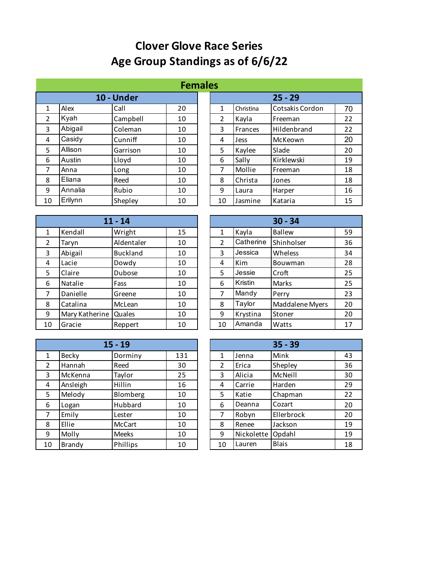## **Clover Glove Race Series Age Group Standings as of 6/6/22**

|    | <b>Females</b> |          |    |  |                |                |                 |    |  |  |  |
|----|----------------|----------|----|--|----------------|----------------|-----------------|----|--|--|--|
|    | 10 - Under     |          |    |  |                |                | $25 - 29$       |    |  |  |  |
| 1  | Alex           | Call     | 20 |  | 1              | Christina      | Cotsakis Cordon | 70 |  |  |  |
| 2  | Kyah           | Campbell | 10 |  | $\overline{2}$ | Kayla          | Freeman         | 22 |  |  |  |
| 3  | Abigail        | Coleman  | 10 |  | 3              | <b>Frances</b> | Hildenbrand     | 22 |  |  |  |
| 4  | Casidy         | Cunniff  | 10 |  | 4              | Jess           | McKeown         | 20 |  |  |  |
| 5  | Allison        | Garrison | 10 |  | 5              | Kaylee         | Slade           | 20 |  |  |  |
| 6  | Austin         | Lloyd    | 10 |  | 6              | Sally          | Kirklewski      | 19 |  |  |  |
| 7  | Anna           | Long     | 10 |  | $\overline{7}$ | Mollie         | Freeman         | 18 |  |  |  |
| 8  | Eliana         | Reed     | 10 |  | 8              | Christa        | Jones           | 18 |  |  |  |
| 9  | Annalia        | Rubio    | 10 |  | 9              | Laura          | Harper          | 16 |  |  |  |
| 10 | Erilynn        | Shepley  | 10 |  | 10             | Jasmine        | Kataria         | 15 |  |  |  |

| es |                |                 |    |
|----|----------------|-----------------|----|
|    |                | $25 - 29$       |    |
| 1  | Christina      | Cotsakis Cordon | 70 |
| 2  | Kayla          | Freeman         | 22 |
| 3  | <b>Frances</b> | Hildenbrand     | 22 |
| 4  | Jess           | McKeown         | 20 |
| 5  | Kaylee         | Slade           | 20 |
| 6  | Sally          | Kirklewski      | 19 |
| 7  | Mollie         | Freeman         | 18 |
| 8  | Christa        | Jones           | 18 |
| 9  | Laura          | Harper          | 16 |
| 10 | Jasmine        | Kataria         | 15 |

|    |                | $11 - 14$       |    |               |            | $30 - 34$       |    |
|----|----------------|-----------------|----|---------------|------------|-----------------|----|
| 1  | Kendall        | Wright          | 15 | 1             | Kayla      | <b>Ballew</b>   | 59 |
| 2  | Taryn          | Aldentaler      | 10 | $\mathcal{P}$ | Catherine  | Shinholser      | 36 |
| 3  | Abigail        | <b>Buckland</b> | 10 | 3             | Jessica    | Wheless         | 34 |
| 4  | Lacie          | Dowdy           | 10 | 4             | <b>Kim</b> | Bouwman         | 28 |
| 5  | Claire         | Dubose          | 10 | 5             | Jessie     | Croft           | 25 |
| 6  | Natalie        | Fass            | 10 | 6             | Kristin    | Marks           | 25 |
| 7  | Danielle       | Greene          | 10 | 7             | Mandy      | Perry           | 23 |
| 8  | Catalina       | McLean          | 10 | 8             | Taylor     | Maddalene Myers | 20 |
| 9  | Mary Katherine | Quales          | 10 | 9             | Krystina   | Stoner          | 20 |
| 10 | Gracie         | Reppert         | 10 | 10            | Amanda     | Watts           | 17 |

|           | 3U - 34         |    |
|-----------|-----------------|----|
| Kayla     | <b>Ballew</b>   | 59 |
| Catherine | Shinholser      | 36 |
| Jessica   | Wheless         | 34 |
| Kim       | Bouwman         | 28 |
| Jessie    | Croft           | 25 |
| Kristin   | Marks           | 25 |
| Mandy     | Perry           | 23 |
| Taylor    | Maddalene Myers | 20 |
| Krystina  | Stoner          | 20 |
| Amanda    | Watts           | 17 |
|           |                 |    |

|              | $15 - 19$ |               |     |  |                |            | $35 - 39$    |    |
|--------------|-----------|---------------|-----|--|----------------|------------|--------------|----|
| $\mathbf{1}$ | Becky     | Dorminy       | 131 |  | 1              | Jenna      | Mink         | 43 |
| 2            | Hannah    | Reed          | 30  |  | $\overline{2}$ | Erica      | Shepley      | 36 |
| 3            | McKenna   | Taylor        | 25  |  | 3              | Alicia     | McNeill      | 30 |
| 4            | Ansleigh  | Hillin        | 16  |  | 4              | Carrie     | Harden       | 29 |
| 5            | Melody    | Blomberg      | 10  |  | 5              | Katie      | Chapman      | 22 |
| 6            | Logan     | Hubbard       | 10  |  | 6              | Deanna     | Cozart       | 20 |
| 7            | Emily     | Lester        | 10  |  | 7              | Robyn      | Ellerbrock   | 20 |
| 8            | Ellie     | <b>McCart</b> | 10  |  | 8              | Renee      | Jackson      | 19 |
| 9            | Molly     | Meeks         | 10  |  | 9              | Nickolette | Opdahl       | 19 |
| 10           | Brandy    | Phillips      | 10  |  | 10             | Lauren     | <b>Blais</b> | 18 |

|    |            | $35 - 39$    |    |
|----|------------|--------------|----|
| 1  | Jenna      | Mink         | 43 |
| 2  | Erica      | Shepley      | 36 |
| 3  | Alicia     | McNeill      | 30 |
| 4  | Carrie     | Harden       | 29 |
| 5  | Katie      | Chapman      | 22 |
| 6  | Deanna     | Cozart       | 20 |
| 7  | Robyn      | Ellerbrock   | 20 |
| 8  | Renee      | Jackson      | 19 |
| 9  | Nickolette | Opdahl       | 19 |
| 10 | Lauren     | <b>Blais</b> | 18 |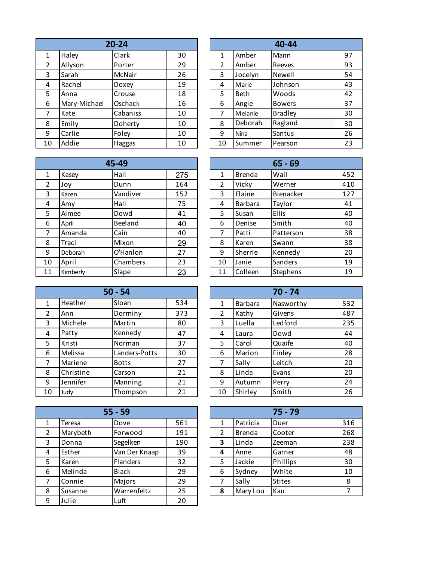|                | $20 - 24$    |          |    |  |                |             | 40-44          |    |
|----------------|--------------|----------|----|--|----------------|-------------|----------------|----|
| 1              | Haley        | Clark    | 30 |  | 1              | Amber       | Mann           | 97 |
| $\overline{2}$ | Allyson      | Porter   | 29 |  | $\overline{2}$ | Amber       | Reeves         | 93 |
| 3              | Sarah        | McNair   | 26 |  | 3              | Jocelyn     | Newell         | 54 |
| $\overline{4}$ | Rachel       | Doxey    | 19 |  | 4              | Marie       | Johnson        | 43 |
| 5              | Anna         | Crouse   | 18 |  | 5              | <b>Beth</b> | Woods          | 42 |
| 6              | Mary-Michael | Oschack  | 16 |  | 6              | Angie       | <b>Bowers</b>  | 37 |
| 7              | Kate         | Cabaniss | 10 |  | 7              | Melanie     | <b>Bradley</b> | 30 |
| 8              | Emily        | Doherty  | 10 |  | 8              | Deborah     | Ragland        | 30 |
| 9              | Carlie       | Foley    | 10 |  | 9              | Nina        | Santus         | 26 |
| 10             | Addie        | Haggas   | 10 |  | 10             | Summer      | Pearson        | 23 |

|                | 45-49    |          |     |  |                |               | $65 - 69$ |     |
|----------------|----------|----------|-----|--|----------------|---------------|-----------|-----|
| $\mathbf{1}$   | Kasey    | Hall     | 275 |  | 1              | <b>Brenda</b> | Wall      | 452 |
| $\overline{2}$ | Joy      | Dunn     | 164 |  | $\overline{2}$ | Vicky         | Werner    | 410 |
| 3              | Karen    | Vandiver | 152 |  | 3              | Elaine        | Bienacker | 127 |
| 4              | Amy      | Hall     | 75  |  | 4              | Barbara       | Taylor    | 41  |
| 5              | Aimee    | Dowd     | 41  |  | 5              | Susan         | Ellis     | 40  |
| 6              | April    | Beeland  | 40  |  | 6              | Denise        | Smith     | 40  |
| 7              | Amanda   | Cain     | 40  |  | 7              | Patti         | Patterson | 38  |
| 8              | Traci    | Mixon    | 29  |  | 8              | Karen         | Swann     | 38  |
| 9              | Deborah  | O'Hanlon | 27  |  | 9              | Sherrie       | Kennedy   | 20  |
| 10             | April    | Chambers | 23  |  | 10             | Janie         | Sanders   | 19  |
| 11             | Kimberly | Slape    | 23  |  | 11             | Colleen       | Stephens  | 19  |

|              | $50 - 54$ |               |     |  | $70 - 74$      |         |           |     |
|--------------|-----------|---------------|-----|--|----------------|---------|-----------|-----|
| $\mathbf{1}$ | Heather   | Sloan         | 534 |  | 1              | Barbara | Nasworthy | 532 |
| 2            | Ann       | Dorminy       | 373 |  | $\overline{2}$ | Kathy   | Givens    | 487 |
| 3            | Michele   | Martin        | 80  |  | 3              | Luella  | Ledford   | 235 |
| 4            | Patty     | Kennedy       | 47  |  | 4              | Laura   | Dowd      | 44  |
| 5            | Kristi    | Norman        | 37  |  | 5              | Carol   | Quaife    | 40  |
| 6            | Melissa   | Landers-Potts | 30  |  | 6              | Marion  | Finley    | 28  |
| 7            | Mariene   | <b>Botts</b>  | 27  |  | 7              | Sally   | Leitch    | 20  |
| 8            | Christine | Carson        | 21  |  | 8              | Linda   | Evans     | 20  |
| 9            | Jennifer  | Manning       | 21  |  | 9              | Autumn  | Perry     | 24  |
| 10           | Judy      | Thompson      | 21  |  | 10             | Shirley | Smith     | 26  |

|               |          | $55 - 59$       |     | $75 - 79$ |          |               |     |
|---------------|----------|-----------------|-----|-----------|----------|---------------|-----|
| 1             | Teresa   | Dove            | 561 | 1         | Patricia | Duer          | 316 |
| $\mathcal{P}$ | Marybeth | Forwood         | 191 | 2         | Brenda   | Cooter        | 268 |
| 3             | Donna    | Segelken        | 190 | 3         | Linda    | Zeeman        | 238 |
| 4             | Esther   | Van Der Knaap   | 39  | 4         | Anne     | Garner        | 48  |
| 5             | Karen    | <b>Flanders</b> | 32  | 5         | Jackie   | Phillips      | 30  |
| 6             | Melinda  | <b>Black</b>    | 29  | 6         | Sydney   | White         | 10  |
| 7             | Connie   | Majors          | 29  | 7         | Sally    | <b>Stites</b> | 8   |
| 8             | Susanne  | Warrenfeltz     | 25  | 8         | Mary Lou | Kau           | 7   |
| 9             | Julie    | Luft            | 20  |           |          |               |     |

| 40-44          |             |                |    |  |  |  |  |
|----------------|-------------|----------------|----|--|--|--|--|
| 1              | Amber       | Mann           | 97 |  |  |  |  |
| $\overline{2}$ | Amber       | Reeves         | 93 |  |  |  |  |
| 3              | Jocelyn     | Newell         | 54 |  |  |  |  |
| 4              | Marie       | Johnson        | 43 |  |  |  |  |
| 5              | Beth        | Woods          | 42 |  |  |  |  |
| 6              | Angie       | <b>Bowers</b>  | 37 |  |  |  |  |
| 7              | Melanie     | <b>Bradley</b> | 30 |  |  |  |  |
| 8              | Deborah     | Ragland        | 30 |  |  |  |  |
| 9              | <b>Nina</b> | Santus         | 26 |  |  |  |  |
| 10             | Summer      | Pearson        | 23 |  |  |  |  |

|                | $65 - 69$      |           |     |  |  |  |  |  |  |
|----------------|----------------|-----------|-----|--|--|--|--|--|--|
| 1              | <b>Brenda</b>  | Wall      | 452 |  |  |  |  |  |  |
| $\overline{2}$ | Vicky          | Werner    | 410 |  |  |  |  |  |  |
| 3              | Elaine         | Bienacker | 127 |  |  |  |  |  |  |
| 4              | <b>Barbara</b> | Taylor    | 41  |  |  |  |  |  |  |
| 5              | Susan          | Ellis     | 40  |  |  |  |  |  |  |
| 6              | Denise         | Smith     | 40  |  |  |  |  |  |  |
| 7              | Patti          | Patterson | 38  |  |  |  |  |  |  |
| 8              | Karen          | Swann     | 38  |  |  |  |  |  |  |
| 9              | Sherrie        | Kennedy   | 20  |  |  |  |  |  |  |
| 10             | Janie          | Sanders   | 19  |  |  |  |  |  |  |
| 11             | Colleen        | Stephens  | 19  |  |  |  |  |  |  |

|                |                | 70 - 74   |     |
|----------------|----------------|-----------|-----|
| $\mathbf{1}$   | <b>Barbara</b> | Nasworthy | 532 |
| $\overline{2}$ | Kathy          | Givens    | 487 |
| 3              | Luella         | Ledford   | 235 |
| 4              | Laura          | Dowd      | 44  |
| 5              | Carol          | Quaife    | 40  |
| 6              | Marion         | Finley    | 28  |
| 7              | Sally          | Leitch    | 20  |
| 8              | Linda          | Evans     | 20  |
| 9              | Autumn         | Perry     | 24  |
| 10             | Shirley        | Smith     | 26  |

|   | $75 - 79$     |               |     |  |  |  |  |  |
|---|---------------|---------------|-----|--|--|--|--|--|
| 1 | Patricia      | 316           |     |  |  |  |  |  |
| 2 | <b>Brenda</b> | Cooter        | 268 |  |  |  |  |  |
| 3 | Linda         | Zeeman        | 238 |  |  |  |  |  |
| 4 | Anne          | Garner        | 48  |  |  |  |  |  |
| 5 | Jackie        | Phillips      | 30  |  |  |  |  |  |
| 6 | Sydney        | White         | 10  |  |  |  |  |  |
| 7 | Sally         | <b>Stites</b> | 8   |  |  |  |  |  |
| 8 | Mary Lou      | Kau           |     |  |  |  |  |  |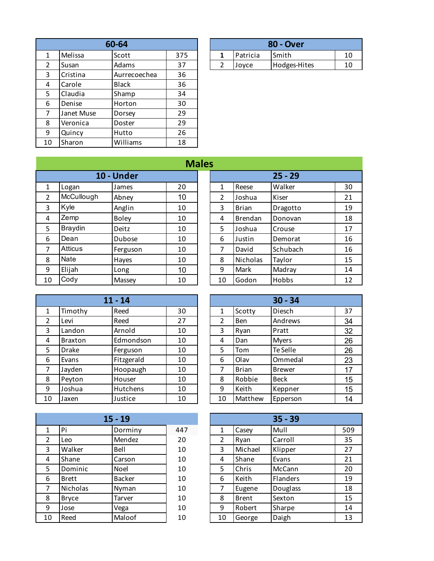|    |            | 60-64        |     |                |          | <b>80 - Over</b> |    |
|----|------------|--------------|-----|----------------|----------|------------------|----|
| 1  | Melissa    | Scott        | 375 | 1              | Patricia | Smith            | 10 |
| 2  | Susan      | Adams        | 37  | $\overline{2}$ | Joyce    | Hodges-Hites     | 10 |
| 3  | Cristina   | Aurrecoechea | 36  |                |          |                  |    |
| 4  | Carole     | <b>Black</b> | 36  |                |          |                  |    |
| 5  | Claudia    | Shamp        | 34  |                |          |                  |    |
| 6  | Denise     | Horton       | 30  |                |          |                  |    |
| 7  | Janet Muse | Dorsey       | 29  |                |          |                  |    |
| 8  | Veronica   | Doster       | 29  |                |          |                  |    |
| 9  | Quincy     | Hutto        | 26  |                |          |                  |    |
| 10 | Sharon     | Williams     | 18  |                |          |                  |    |

| 60-64 |       |     |  | <b>80 - Over</b> |                  |              |    |  |  |
|-------|-------|-----|--|------------------|------------------|--------------|----|--|--|
|       | Scott | 375 |  |                  | <b>IPatricia</b> | <b>Smith</b> | 10 |  |  |
|       | Adams | 37  |  |                  | Jovce            | Hodges-Hites | 10 |  |  |

| 10 - Under<br>$25 - 29$<br>Walker<br>20<br>1<br>Reese<br>$\mathbf{1}$<br>Logan<br>James<br>McCullough<br>10<br>$\overline{2}$<br>$\overline{2}$<br>Abney<br>Joshua<br>Kiser<br>Kyle<br>3<br>3<br>Anglin<br><b>Brian</b><br>10<br>Dragotto<br>Zemp<br><b>Boley</b><br>10<br>4<br>4<br><b>Brendan</b><br>Donovan<br><b>Braydin</b><br>5<br>5<br>Deitz<br>Joshua<br>10<br>Crouse<br>Dean<br>6<br>6<br>Dubose<br>10<br>Justin<br>Demorat<br><b>Atticus</b><br>Schubach<br>David<br>7<br>7<br>10<br>Ferguson<br>Nate<br>Nicholas<br>8<br>8<br>Taylor<br>10<br>Hayes |   |        |      | <b>Males</b> |   |      |        |    |
|----------------------------------------------------------------------------------------------------------------------------------------------------------------------------------------------------------------------------------------------------------------------------------------------------------------------------------------------------------------------------------------------------------------------------------------------------------------------------------------------------------------------------------------------------------------|---|--------|------|--------------|---|------|--------|----|
|                                                                                                                                                                                                                                                                                                                                                                                                                                                                                                                                                                |   |        |      |              |   |      |        |    |
|                                                                                                                                                                                                                                                                                                                                                                                                                                                                                                                                                                |   |        |      |              |   |      |        | 30 |
|                                                                                                                                                                                                                                                                                                                                                                                                                                                                                                                                                                |   |        |      |              |   |      |        | 21 |
|                                                                                                                                                                                                                                                                                                                                                                                                                                                                                                                                                                |   |        |      |              |   |      |        | 19 |
|                                                                                                                                                                                                                                                                                                                                                                                                                                                                                                                                                                |   |        |      |              |   |      |        | 18 |
|                                                                                                                                                                                                                                                                                                                                                                                                                                                                                                                                                                |   |        |      |              |   |      |        | 17 |
|                                                                                                                                                                                                                                                                                                                                                                                                                                                                                                                                                                |   |        |      |              |   |      |        | 16 |
|                                                                                                                                                                                                                                                                                                                                                                                                                                                                                                                                                                |   |        |      |              |   |      |        | 16 |
|                                                                                                                                                                                                                                                                                                                                                                                                                                                                                                                                                                |   |        |      |              |   |      |        | 15 |
|                                                                                                                                                                                                                                                                                                                                                                                                                                                                                                                                                                | 9 | Elijah | Long | 10           | 9 | Mark | Madray | 14 |
| Cody<br>Godon<br>Hobbs<br>10<br>10<br>Massey<br>10                                                                                                                                                                                                                                                                                                                                                                                                                                                                                                             |   |        |      |              |   |      |        | 12 |

|                |                | $11 - 14$  |    |                |              | $30 - 34$     |    |
|----------------|----------------|------------|----|----------------|--------------|---------------|----|
| 1              | Timothy        | Reed       | 30 | 1              | Scotty       | Diesch        | 37 |
| $\overline{2}$ | Levi           | Reed       | 27 | $\overline{2}$ | <b>Ben</b>   | Andrews       | 34 |
| 3              | Landon         | Arnold     | 10 | 3              | Ryan         | Pratt         | 32 |
| $\overline{4}$ | <b>Braxton</b> | Edmondson  | 10 | 4              | Dan          | <b>Myers</b>  | 26 |
| 5              | Drake          | Ferguson   | 10 | 5              | Tom          | Te Selle      | 26 |
| 6              | Evans          | Fitzgerald | 10 | 6              | Olav         | Ommedal       | 23 |
| 7              | Jayden         | Hoopaugh   | 10 | 7              | <b>Brian</b> | <b>Brewer</b> | 17 |
| 8              | Peyton         | Houser     | 10 | 8              | Robbie       | Beck          | 15 |
| 9              | Joshua         | Hutchens   | 10 | 9              | Keith        | Keppner       | 15 |
| 10             | Jaxen          | Justice    | 10 | 10             | Matthew      | Epperson      | 14 |

|               |              | $15 - 19$     |     |    |              | $35 - 39$       |     |
|---------------|--------------|---------------|-----|----|--------------|-----------------|-----|
|               | Pi           | Dorminy       | 447 | 1  | Casey        | Mull            | 509 |
| $\mathcal{P}$ | Leo          | Mendez        | 20  | 2  | Ryan         | Carroll         | 35  |
| 3             | Walker       | Bell          | 10  | 3  | Michael      | Klipper         | 27  |
| 4             | Shane        | Carson        | 10  | 4  | Shane        | Evans           | 21  |
| 5             | Dominic      | Noel          | 10  | 5  | Chris        | McCann          | 20  |
| 6             | <b>Brett</b> | <b>Backer</b> | 10  | 6  | Keith        | <b>Flanders</b> | 19  |
|               | Nicholas     | Nyman         | 10  |    | Eugene       | Douglass        | 18  |
| 8             | <b>Bryce</b> | Tarver        | 10  | 8  | <b>Brent</b> | Sexton          | 15  |
| 9             | Jose         | Vega          | 10  | 9  | Robert       | Sharpe          | 14  |
| 10            | Reed         | Maloof        | 10  | 10 | George       | Daigh           | 13  |

| lles |    |                |           |    |
|------|----|----------------|-----------|----|
|      |    |                | $25 - 29$ |    |
|      | 1  | Reese          | Walker    | 30 |
|      | 2  | Joshua         | Kiser     | 21 |
|      | 3  | Brian          | Dragotto  | 19 |
|      | 4  | <b>Brendan</b> | Donovan   | 18 |
|      | 5  | Joshua         | Crouse    | 17 |
|      | 6  | Justin         | Demorat   | 16 |
|      | 7  | David          | Schubach  | 16 |
|      | 8  | Nicholas       | Taylor    | 15 |
|      | 9  | Mark           | Madray    | 14 |
|      | 10 | Godon          | Hobbs     | 12 |

|                |              | $30 - 34$     |    |
|----------------|--------------|---------------|----|
| $\mathbf{1}$   | Scotty       | Diesch        | 37 |
| $\overline{2}$ | <b>Ben</b>   | Andrews       | 34 |
| 3              | Ryan         | Pratt         | 32 |
| 4              | Dan          | <b>Myers</b>  | 26 |
| 5              | Tom          | Te Selle      | 26 |
| 6              | Olav         | Ommedal       | 23 |
| 7              | <b>Brian</b> | <b>Brewer</b> | 17 |
| 8              | Robbie       | <b>Beck</b>   | 15 |
| 9              | Keith        | Keppner       | 15 |
| 10             | Matthew      | Epperson      | 14 |

|                |              | $35 - 39$       |     |
|----------------|--------------|-----------------|-----|
| 1              | Casey        | Mull            | 509 |
| $\overline{2}$ | Ryan         | Carroll         | 35  |
| 3              | Michael      | Klipper         | 27  |
| 4              | Shane        | Evans           | 21  |
| 5              | Chris        | McCann          | 20  |
| 6              | Keith        | <b>Flanders</b> | 19  |
| 7              | Eugene       | Douglass        | 18  |
| 8              | <b>Brent</b> | Sexton          | 15  |
| 9              | Robert       | Sharpe          | 14  |
| 10             | George       | Daigh           | 13  |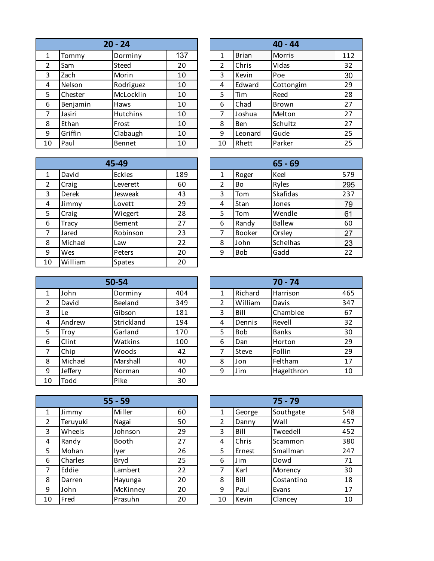|    |          | $20 - 24$ |     |                |              | $40 - 44$ |                 |
|----|----------|-----------|-----|----------------|--------------|-----------|-----------------|
| 1  | Tommy    | Dorminy   | 137 | 1              | <b>Brian</b> | Morris    | 11 <sub>2</sub> |
| 2  | Sam      | Steed     | 20  | $\overline{2}$ | Chris        | Vidas     | 32              |
| 3  | Zach     | Morin     | 10  | 3              | Kevin        | Poe       | 30              |
| 4  | Nelson   | Rodriguez | 10  | 4              | Edward       | Cottongim | 29              |
| 5  | Chester  | McLocklin | 10  | 5              | Tim          | Reed      | 28              |
| 6  | Benjamin | Haws      | 10  | 6              | Chad         | Brown     | 27              |
| 7  | Jasiri   | Hutchins  | 10  | 7              | Joshua       | Melton    | 27              |
| 8  | Ethan    | Frost     | 10  | 8              | <b>Ben</b>   | Schultz   | 27              |
| 9  | Griffin  | Clabaugh  | 10  | 9              | Leonard      | Gude      | 25              |
| 10 | Paul     | Bennet    | 10  | 10             | Rhett        | Parker    | 25              |
|    |          |           |     |                |              |           |                 |

|              |              | 45-49         |     |   |               | $65 - 69$       |     |
|--------------|--------------|---------------|-----|---|---------------|-----------------|-----|
| $\mathbf{1}$ | David        | Eckles        | 189 | 1 | Roger         | Keel            | 579 |
| 2            | Craig        | Leverett      | 60  | 2 | Bo            | Ryles           | 295 |
| 3            | Derek        | Jesweak       | 43  | 3 | Tom           | <b>Skafidas</b> | 237 |
| 4            | Jimmy        | Lovett        | 29  | 4 | <b>Stan</b>   | Jones           | 79  |
| 5            | Craig        | Wiegert       | 28  | 5 | Tom           | Wendle          | 61  |
| 6            | <b>Tracy</b> | Bement        | 27  | 6 | Randy         | <b>Ballew</b>   | 60  |
| 7            | Jared        | Robinson      | 23  | 7 | <b>Booker</b> | Orsley          | 27  |
| 8            | Michael      | Law           | 22  | 8 | John          | Schelhas        | 23  |
| 9            | Wes          | Peters        | 20  | 9 | <b>Bob</b>    | Gadd            | 22  |
| 10           | William      | <b>Spates</b> | 20  |   |               |                 |     |

|    | 50-54   |            |     |  |                |            | $70 - 74$    |
|----|---------|------------|-----|--|----------------|------------|--------------|
| 1  | John    | Dorminy    | 404 |  | 1              | Richard    | Harrison     |
| 2  | David   | Beeland    | 349 |  | $\overline{2}$ | William    | Davis        |
| 3  | Le      | Gibson     | 181 |  | 3              | Bill       | Chamble      |
| 4  | Andrew  | Strickland | 194 |  | 4              | Dennis     | Revell       |
| 5  | Troy    | Garland    | 170 |  | 5              | <b>Bob</b> | <b>Banks</b> |
| 6  | Clint   | Watkins    | 100 |  | 6              | Dan        | Horton       |
| 7  | Chip    | Woods      | 42  |  | 7              | Steve      | Follin       |
| 8  | Michael | Marshall   | 40  |  | 8              | Jon        | Feltham      |
| 9  | Jeffery | Norman     | 40  |  | 9              | Jim        | Hagelthr     |
| 10 | Todd    | Pike       | 30  |  |                |            |              |

| $55 - 59$      |          |          |    |               |        | $75 - 79$  |                 |
|----------------|----------|----------|----|---------------|--------|------------|-----------------|
| $\mathbf{1}$   | Jimmy    | Miller   | 60 | 1             | George | Southgate  | 548             |
| $\overline{2}$ | Teruyuki | Nagai    | 50 | $\mathcal{P}$ | Danny  | Wall       | 45.             |
| 3              | Wheels   | Johnson  | 29 | 3             | Bill   | Tweedell   | 452             |
| 4              | Randy    | Booth    | 27 | 4             | Chris  | Scammon    | 380             |
| 5              | Mohan    | Iver     | 26 | 5             | Ernest | Smallman   | 24 <sub>2</sub> |
| 6              | Charles  | Bryd     | 25 | 6             | Jim    | Dowd       | 71              |
| 7              | Eddie    | Lambert  | 22 | 7             | Karl   | Morency    | 30              |
| 8              | Darren   | Hayunga  | 20 | 8             | Bill   | Costantino | 18              |
| 9              | John     | McKinney | 20 | 9             | Paul   | Evans      | 17              |
| 10             | Fred     | Prasuhn  | 20 | 10            | Kevin  | Clancey    | 10              |

| 40 - 44        |              |           |     |  |  |  |  |
|----------------|--------------|-----------|-----|--|--|--|--|
| 1              | <b>Brian</b> | Morris    | 112 |  |  |  |  |
| $\overline{2}$ | Chris        | Vidas     | 32  |  |  |  |  |
| 3              | Kevin        | Poe       | 30  |  |  |  |  |
| 4              | Edward       | Cottongim | 29  |  |  |  |  |
| 5              | Tim          | Reed      | 28  |  |  |  |  |
| 6              | Chad         | Brown     | 27  |  |  |  |  |
| 7              | Joshua       | Melton    | 27  |  |  |  |  |
| 8              | Ben          | Schultz   | 27  |  |  |  |  |
| 9              | Leonard      | Gude      | 25  |  |  |  |  |
| 10             | Rhett        | Parker    | 25  |  |  |  |  |

|                | $65 - 69$ |               |     |  |  |  |  |  |
|----------------|-----------|---------------|-----|--|--|--|--|--|
| $\mathbf{1}$   | Roger     | Keel          | 579 |  |  |  |  |  |
| $\overline{2}$ | Bo        | Ryles         | 295 |  |  |  |  |  |
| 3              | Tom       | Skafidas      | 237 |  |  |  |  |  |
| 4              | Stan      | Jones         | 79  |  |  |  |  |  |
| 5              | Tom       | Wendle        | 61  |  |  |  |  |  |
| 6              | Randy     | <b>Ballew</b> | 60  |  |  |  |  |  |
| 7              | Booker    | Orsley        | 27  |  |  |  |  |  |
| 8              | John      | Schelhas      | 23  |  |  |  |  |  |
| 9              | Bob       | Gadd          | 22  |  |  |  |  |  |

| $70 - 74$ |         |              |     |  |  |  |  |
|-----------|---------|--------------|-----|--|--|--|--|
| 1         | Richard | Harrison     | 465 |  |  |  |  |
| 2         | William | Davis        | 347 |  |  |  |  |
| 3         | Bill    | Chamblee     | 67  |  |  |  |  |
| 4         | Dennis  | Revell       | 32  |  |  |  |  |
| 5         | Bob     | <b>Banks</b> | 30  |  |  |  |  |
| 6         | Dan     | Horton       | 29  |  |  |  |  |
| 7         | Steve   | Follin       | 29  |  |  |  |  |
| 8         | Jon     | Feltham      | 17  |  |  |  |  |
| 9         | Jim     | Hagelthron   | 10  |  |  |  |  |

| $75 - 79$ |        |            |     |  |  |  |
|-----------|--------|------------|-----|--|--|--|
| 1         | George | Southgate  | 548 |  |  |  |
| 2         | Danny  | Wall       | 457 |  |  |  |
| 3         | Bill   | Tweedell   | 452 |  |  |  |
| 4         | Chris  | Scammon    | 380 |  |  |  |
| 5         | Ernest | Smallman   | 247 |  |  |  |
| 6         | Jim    | Dowd       | 71  |  |  |  |
| 7         | Karl   | Morency    | 30  |  |  |  |
| 8         | Bill   | Costantino | 18  |  |  |  |
| 9         | Paul   | Evans      | 17  |  |  |  |
| 10        | Kevin  | Clancey    | 10  |  |  |  |